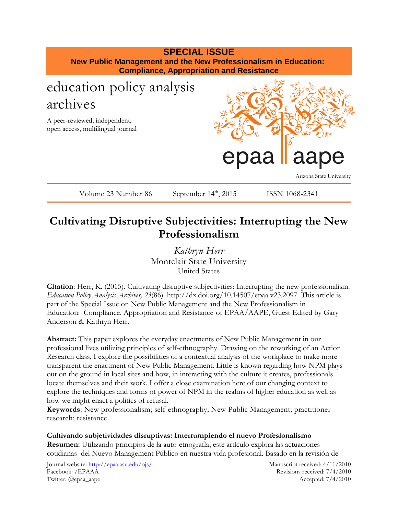

## **Cultivating Disruptive Subjectivities: Interrupting the New Professionalism**

*Kathryn Herr* Montclair State University United States

**Citation**: Herr, K. (2015). Cultivating disruptive subjectivities: Interrupting the new professionalism. *Education Policy Analysis Archives, 23*(86). http://dx.doi.org/10.14507/epaa.v23.2097. This article is part of the Special Issue on New Public Management and the New Professionalism in Education: Compliance, Appropriation and Resistance of EPAA/AAPE, Guest Edited by Gary Anderson & Kathryn Herr.

**Abstract:** This paper explores the everyday enactments of New Public Management in our professional lives utilizing principles of self-ethnography. Drawing on the reworking of an Action Research class, I explore the possibilities of a contextual analysis of the workplace to make more transparent the enactment of New Public Management. Little is known regarding how NPM plays out on the ground in local sites and how, in interacting with the culture it creates, professionals locate themselves and their work. I offer a close examination here of our changing context to explore the techniques and forms of power of NPM in the realms of higher education as well as how we might enact a politics of refusal.

**Keywords**: New professionalism; self-ethnography; New Public Management; practitioner research; resistance.

**Cultivando subjetividades disruptivas: Interrumpiendo el nuevo Profesionalismo Resumen:** Utilizando principios de la auto-etnografía, este artículo explora las actuaciones cotidianas del Nuevo Management Público en nuestra vida profesional. Basado en la revisión de

Journal website:<http://epaa.asu.edu/ojs/> Manuscript received: 4/11/2010 Facebook: /EPAAA Revisions received: 7/4/2010 Twitter: @epaa\_aape Accepted: 7/4/2010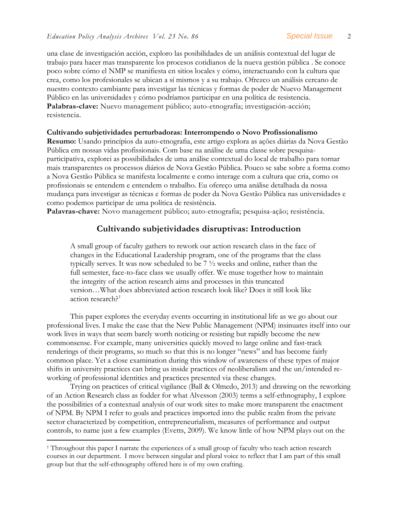una clase de investigación acción, exploro las posibilidades de un análisis contextual del lugar de trabajo para hacer mas transparente los procesos cotidianos de la nueva gestión pública . Se conoce poco sobre cómo el NMP se manifiesta en sitios locales y cómo, interactuando con la cultura que crea, como los profesionales se ubican a sí mismos y a su trabajo. Ofrezco un análisis cercano de nuestro contexto cambiante para investigar las técnicas y formas de poder de Nuevo Management Público en las universidades y cómo podríamos participar en una política de resistencia. **Palabras-clave:** Nuevo management público; auto-etnografía; investigación-acción; resistencia.

#### **Cultivando subjetividades perturbadoras: Interrompendo o Novo Profissionalismo**

**Resumo:** Usando princípios da auto-etnografia, este artigo explora as ações diárias da Nova Gestão Pública em nossas vidas profissionais. Com base na análise de uma classe sobre pesquisaparticipativa, explorei as possibilidades de uma análise contextual do local de trabalho para tornar mais transparentes os processos diários de Nova Gestão Pública. Pouco se sabe sobre a forma como a Nova Gestão Pública se manifesta localmente e como interage com a cultura que cria, como os profissionais se entendem e entendem o trabalho. Eu ofereço uma análise detalhada da nossa mudança para investigar as técnicas e formas de poder da Nova Gestão Pública nas universidades e como podemos participar de uma política de resistência.

**Palavras-chave:** Novo management público; auto-etnografia; pesquisa-ação; resistência.

## **Cultivando subjetividades disruptivas: Introduction**

A small group of faculty gathers to rework our action research class in the face of changes in the Educational Leadership program, one of the programs that the class typically serves. It was now scheduled to be 7 ½ weeks and online, rather than the full semester, face-to-face class we usually offer. We muse together how to maintain the integrity of the action research aims and processes in this truncated version…What does abbreviated action research look like? Does it still look like action research?<sup>[1](#page-1-0)</sup>

This paper explores the everyday events occurring in institutional life as we go about our professional lives. I make the case that the New Public Management (NPM) insinuates itself into our work lives in ways that seem barely worth noticing or resisting but rapidly become the new commonsense. For example, many universities quickly moved to large online and fast-track renderings of their programs, so much so that this is no longer "news" and has become fairly common place. Yet a close examination during this window of awareness of these types of major shifts in university practices can bring us inside practices of neoliberalism and the un/intended reworking of professional identities and practices presented via these changes.

Trying on practices of critical vigilance (Ball & Olmedo, 2013) and drawing on the reworking of an Action Research class as fodder for what Alvesson (2003) terms a self-ethnography, I explore the possibilities of a contextual analysis of our work sites to make more transparent the enactment of NPM. By NPM I refer to goals and practices imported into the public realm from the private sector characterized by competition, entrepreneurialism, measures of performance and output controls, to name just a few examples (Evetts, 2009). We know little of how NPM plays out on the

<span id="page-1-0"></span> <sup>1</sup> Throughout this paper I narrate the experiences of a small group of faculty who teach action research courses in our department. I move between singular and plural voice to reflect that I am part of this small group but that the self-ethnography offered here is of my own crafting.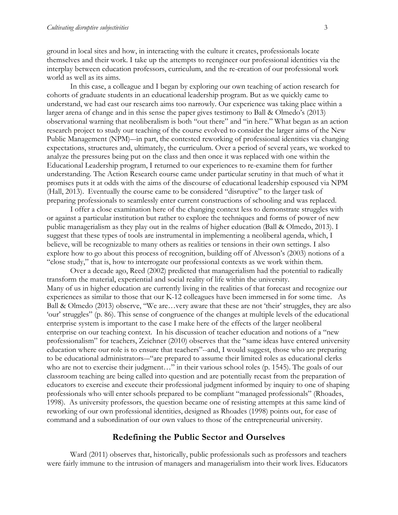ground in local sites and how, in interacting with the culture it creates, professionals locate themselves and their work. I take up the attempts to reengineer our professional identities via the interplay between education professors, curriculum, and the re-creation of our professional work world as well as its aims.

In this case, a colleague and I began by exploring our own teaching of action research for cohorts of graduate students in an educational leadership program. But as we quickly came to understand, we had cast our research aims too narrowly. Our experience was taking place within a larger arena of change and in this sense the paper gives testimony to Ball & Olmedo's (2013) observational warning that neoliberalism is both "out there" and "in here." What began as an action research project to study our teaching of the course evolved to consider the larger aims of the New Public Management (NPM)–-in part, the contested reworking of professional identities via changing expectations, structures and, ultimately, the curriculum. Over a period of several years, we worked to analyze the pressures being put on the class and then once it was replaced with one within the Educational Leadership program, I returned to our experiences to re-examine them for further understanding. The Action Research course came under particular scrutiny in that much of what it promises puts it at odds with the aims of the discourse of educational leadership espoused via NPM (Hall, 2013). Eventually the course came to be considered "disruptive" to the larger task of preparing professionals to seamlessly enter current constructions of schooling and was replaced.

I offer a close examination here of the changing context less to demonstrate struggles with or against a particular institution but rather to explore the techniques and forms of power of new public managerialism as they play out in the realms of higher education (Ball & Olmedo, 2013). I suggest that these types of tools are instrumental in implementing a neoliberal agenda, which, I believe, will be recognizable to many others as realities or tensions in their own settings. I also explore how to go about this process of recognition, building off of Alvesson's (2003) notions of a "close study," that is, how to interrogate our professional contexts as we work within them.

 Over a decade ago, Reed (2002) predicted that managerialism had the potential to radically transform the material, experiential and social reality of life within the university. Many of us in higher education are currently living in the realities of that forecast and recognize our experiences as similar to those that our K-12 colleagues have been immersed in for some time. As Ball & Olmedo (2013) observe, "We are…very aware that these are not 'their' struggles, they are also 'our' struggles" (p. 86). This sense of congruence of the changes at multiple levels of the educational enterprise system is important to the case I make here of the effects of the larger neoliberal enterprise on our teaching context. In his discussion of teacher education and notions of a "new professionalism" for teachers, Zeichner (2010) observes that the "same ideas have entered university education where our role is to ensure that teachers"--and, I would suggest, those who are preparing to be educational administrators-–"are prepared to assume their limited roles as educational clerks who are not to exercise their judgment…" in their various school roles (p. 1545). The goals of our classroom teaching are being called into question and are potentially recast from the preparation of educators to exercise and execute their professional judgment informed by inquiry to one of shaping professionals who will enter schools prepared to be compliant "managed professionals" (Rhoades, 1998). As university professors, the question became one of resisting attempts at this same kind of reworking of our own professional identities, designed as Rhoades (1998) points out, for ease of command and a subordination of our own values to those of the entrepreneurial university.

#### **Redefining the Public Sector and Ourselves**

Ward (2011) observes that, historically, public professionals such as professors and teachers were fairly immune to the intrusion of managers and managerialism into their work lives. Educators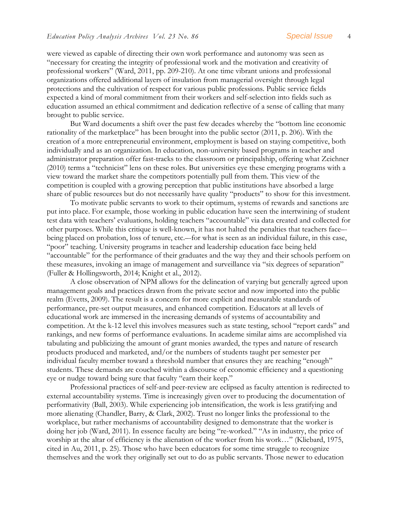were viewed as capable of directing their own work performance and autonomy was seen as "necessary for creating the integrity of professional work and the motivation and creativity of professional workers" (Ward, 2011, pp. 209-210). At one time vibrant unions and professional organizations offered additional layers of insulation from managerial oversight through legal protections and the cultivation of respect for various public professions. Public service fields expected a kind of moral commitment from their workers and self-selection into fields such as education assumed an ethical commitment and dedication reflective of a sense of calling that many brought to public service.

But Ward documents a shift over the past few decades whereby the "bottom line economic rationality of the marketplace" has been brought into the public sector (2011, p. 206). With the creation of a more entrepreneurial environment, employment is based on staying competitive, both individually and as an organization. In education, non-university based programs in teacher and administrator preparation offer fast-tracks to the classroom or principalship, offering what Zeichner (2010) terms a "technicist" lens on these roles. But universities eye these emerging programs with a view toward the market share the competitors potentially pull from them. This view of the competition is coupled with a growing perception that public institutions have absorbed a large share of public resources but do not necessarily have quality "products" to show for this investment.

To motivate public servants to work to their optimum, systems of rewards and sanctions are put into place. For example, those working in public education have seen the intertwining of student test data with teachers' evaluations, holding teachers "accountable" via data created and collected for other purposes. While this critique is well-known, it has not halted the penalties that teachers face– being placed on probation, loss of tenure, etc.–-for what is seen as an individual failure, in this case, "poor" teaching. University programs in teacher and leadership education face being held "accountable" for the performance of their graduates and the way they and their schools perform on these measures, invoking an image of management and surveillance via "six degrees of separation" (Fuller & Hollingsworth, 2014; Knight et al., 2012).

A close observation of NPM allows for the delineation of varying but generally agreed upon management goals and practices drawn from the private sector and now imported into the public realm (Evetts, 2009). The result is a concern for more explicit and measurable standards of performance, pre-set output measures, and enhanced competition. Educators at all levels of educational work are immersed in the increasing demands of systems of accountability and competition. At the k-12 level this involves measures such as state testing, school "report cards" and rankings, and new forms of performance evaluations. In academe similar aims are accomplished via tabulating and publicizing the amount of grant monies awarded, the types and nature of research products produced and marketed, and/or the numbers of students taught per semester per individual faculty member toward a threshold number that ensures they are reaching "enough" students. These demands are couched within a discourse of economic efficiency and a questioning eye or nudge toward being sure that faculty "earn their keep."

Professional practices of self-and peer-review are eclipsed as faculty attention is redirected to external accountability systems. Time is increasingly given over to producing the documentation of performativity (Ball, 2003). While experiencing job intensification, the work is less gratifying and more alienating (Chandler, Barry, & Clark, 2002). Trust no longer links the professional to the workplace, but rather mechanisms of accountability designed to demonstrate that the worker is doing her job (Ward, 2011). In essence faculty are being "re-worked." "As in industry, the price of worship at the altar of efficiency is the alienation of the worker from his work..." (Kliebard, 1975, cited in Au, 2011, p. 25). Those who have been educators for some time struggle to recognize themselves and the work they originally set out to do as public servants. Those newer to education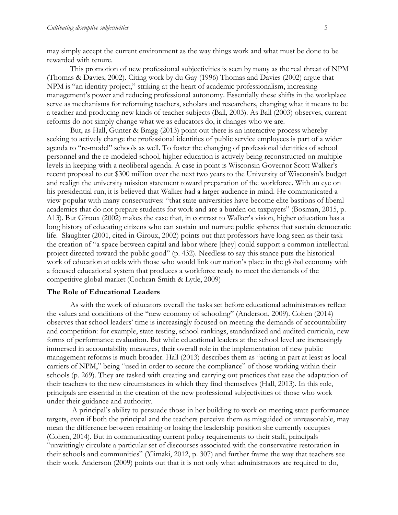may simply accept the current environment as the way things work and what must be done to be rewarded with tenure.

This promotion of new professional subjectivities is seen by many as the real threat of NPM (Thomas & Davies, 2002). Citing work by du Gay (1996) Thomas and Davies (2002) argue that NPM is "an identity project," striking at the heart of academic professionalism, increasing management's power and reducing professional autonomy. Essentially these shifts in the workplace serve as mechanisms for reforming teachers, scholars and researchers, changing what it means to be a teacher and producing new kinds of teacher subjects (Ball, 2003). As Ball (2003) observes, current reforms do not simply change what we as educators do, it changes who we are.

But, as Hall, Gunter & Bragg (2013) point out there is an interactive process whereby seeking to actively change the professional identities of public service employees is part of a wider agenda to "re-model" schools as well. To foster the changing of professional identities of school personnel and the re-modeled school, higher education is actively being reconstructed on multiple levels in keeping with a neoliberal agenda. A case in point is Wisconsin Governor Scott Walker's recent proposal to cut \$300 million over the next two years to the University of Wisconsin's budget and realign the university mission statement toward preparation of the workforce. With an eye on his presidential run, it is believed that Walker had a larger audience in mind. He communicated a view popular with many conservatives: "that state universities have become elite bastions of liberal academics that do not prepare students for work and are a burden on taxpayers" (Bosman, 2015, p. A13). But Giroux (2002) makes the case that, in contrast to Walker's vision, higher education has a long history of educating citizens who can sustain and nurture public spheres that sustain democratic life. Slaughter (2001, cited in Giroux, 2002) points out that professors have long seen as their task the creation of "a space between capital and labor where [they] could support a common intellectual project directed toward the public good" (p. 432). Needless to say this stance puts the historical work of education at odds with those who would link our nation's place in the global economy with a focused educational system that produces a workforce ready to meet the demands of the competitive global market (Cochran-Smith & Lytle, 2009)

#### **The Role of Educational Leaders**

As with the work of educators overall the tasks set before educational administrators reflect the values and conditions of the "new economy of schooling" (Anderson, 2009). Cohen (2014) observes that school leaders' time is increasingly focused on meeting the demands of accountability and competition: for example, state testing, school rankings, standardized and audited curricula, new forms of performance evaluation. But while educational leaders at the school level are increasingly immersed in accountability measures, their overall role in the implementation of new public management reforms is much broader. Hall (2013) describes them as "acting in part at least as local carriers of NPM," being "used in order to secure the compliance" of those working within their schools (p. 269). They are tasked with creating and carrying out practices that ease the adaptation of their teachers to the new circumstances in which they find themselves (Hall, 2013). In this role, principals are essential in the creation of the new professional subjectivities of those who work under their guidance and authority.

A principal's ability to persuade those in her building to work on meeting state performance targets, even if both the principal and the teachers perceive them as misguided or unreasonable, may mean the difference between retaining or losing the leadership position she currently occupies (Cohen, 2014). But in communicating current policy requirements to their staff, principals "unwittingly circulate a particular set of discourses associated with the conservative restoration in their schools and communities" (Ylimaki, 2012, p. 307) and further frame the way that teachers see their work. Anderson (2009) points out that it is not only what administrators are required to do,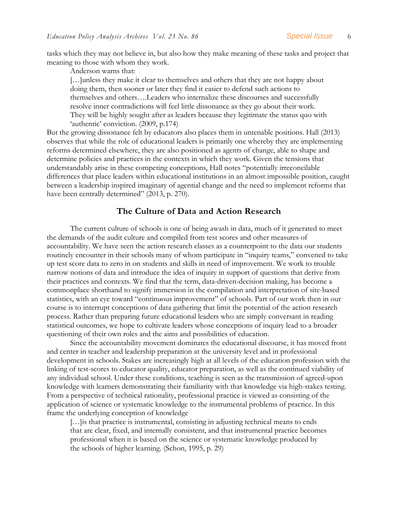tasks which they may not believe in, but also how they make meaning of these tasks and project that meaning to those with whom they work.

Anderson warns that:

[...]unless they make it clear to themselves and others that they are not happy about doing them, then sooner or later they find it easier to defend such actions to themselves and others….Leaders who internalize these discourses and successfully resolve inner contradictions will feel little dissonance as they go about their work. They will be highly sought after as leaders because they legitimate the status quo with 'authentic' conviction. (2009, p.174)

But the growing dissonance felt by educators also places them in untenable positions. Hall (2013) observes that while the role of educational leaders is primarily one whereby they are implementing reforms determined elsewhere, they are also positioned as agents of change, able to shape and determine policies and practices in the contexts in which they work. Given the tensions that understandably arise in these competing conceptions, Hall notes "potentially irreconcilable differences that place leaders within educational institutions in an almost impossible position, caught between a leadership inspired imaginary of agential change and the need to implement reforms that have been centrally determined" (2013, p. 270).

#### **The Culture of Data and Action Research**

The current culture of schools is one of being awash in data, much of it generated to meet the demands of the audit culture and compiled from test scores and other measures of accountability. We have seen the action research classes as a counterpoint to the data our students routinely encounter in their schools many of whom participate in "inquiry teams," convened to take up test score data to zero in on students and skills in need of improvement. We work to trouble narrow notions of data and introduce the idea of inquiry in support of questions that derive from their practices and contexts. We find that the term, data-driven-decision making, has become a commonplace shorthand to signify immersion in the compilation and interpretation of site-based statistics, with an eye toward "continuous improvement" of schools. Part of our work then in our course is to interrupt conceptions of data gathering that limit the potential of the action research process. Rather than preparing future educational leaders who are simply conversant in reading statistical outcomes, we hope to cultivate leaders whose conceptions of inquiry lead to a broader questioning of their own roles and the aims and possibilities of education.

Since the accountability movement dominates the educational discourse, it has moved front and center in teacher and leadership preparation at the university level and in professional development in schools. Stakes are increasingly high at all levels of the education profession with the linking of test-scores to educator quality, educator preparation, as well as the continued viability of any individual school. Under these conditions, teaching is seen as the transmission of agreed-upon knowledge with learners demonstrating their familiarity with that knowledge via high-stakes testing. From a perspective of technical rationality, professional practice is viewed as consisting of the application of science or systematic knowledge to the instrumental problems of practice. In this frame the underlying conception of knowledge

[...] is that practice is instrumental, consisting in adjusting technical means to ends that are clear, fixed, and internally consistent, and that instrumental practice becomes professional when it is based on the science or systematic knowledge produced by the schools of higher learning. (Schon, 1995, p. 29)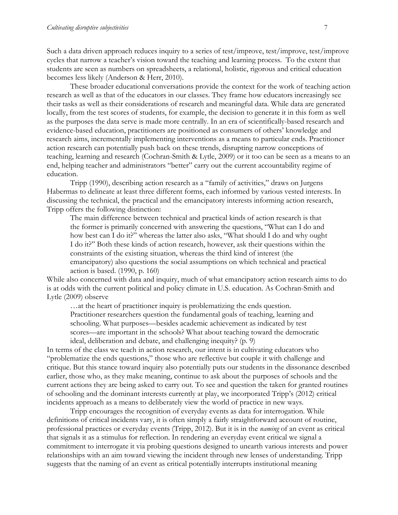Such a data driven approach reduces inquiry to a series of test/improve, test/improve, test/improve cycles that narrow a teacher's vision toward the teaching and learning process. To the extent that students are seen as numbers on spreadsheets, a relational, holistic, rigorous and critical education becomes less likely (Anderson & Herr, 2010).

These broader educational conversations provide the context for the work of teaching action research as well as that of the educators in our classes. They frame how educators increasingly see their tasks as well as their considerations of research and meaningful data. While data are generated locally, from the test scores of students, for example, the decision to generate it in this form as well as the purposes the data serve is made more centrally. In an era of scientifically-based research and evidence-based education, practitioners are positioned as consumers of others' knowledge and research aims, incrementally implementing interventions as a means to particular ends. Practitioner action research can potentially push back on these trends, disrupting narrow conceptions of teaching, learning and research (Cochran-Smith & Lytle, 2009) or it too can be seen as a means to an end, helping teacher and administrators "better" carry out the current accountability regime of education.

Tripp (1990), describing action research as a "family of activities," draws on Jurgens Habermas to delineate at least three different forms, each informed by various vested interests. In discussing the technical, the practical and the emancipatory interests informing action research, Tripp offers the following distinction:

The main difference between technical and practical kinds of action research is that the former is primarily concerned with answering the questions, "What can I do and how best can I do it?" whereas the latter also asks, "What should I do and why ought I do it?" Both these kinds of action research, however, ask their questions within the constraints of the existing situation, whereas the third kind of interest (the emancipatory) also questions the social assumptions on which technical and practical action is based. (1990, p. 160)

While also concerned with data and inquiry, much of what emancipatory action research aims to do is at odds with the current political and policy climate in U.S. education. As Cochran-Smith and Lytle (2009) observe

…at the heart of practitioner inquiry is problematizing the ends question. Practitioner researchers question the fundamental goals of teaching, learning and schooling. What purposes—besides academic achievement as indicated by test scores—are important in the schools? What about teaching toward the democratic ideal, deliberation and debate, and challenging inequity? (p. 9)

In terms of the class we teach in action research, our intent is in cultivating educators who "problematize the ends questions," those who are reflective but couple it with challenge and critique. But this stance toward inquiry also potentially puts our students in the dissonance described earlier, those who, as they make meaning, continue to ask about the purposes of schools and the current actions they are being asked to carry out. To see and question the taken for granted routines of schooling and the dominant interests currently at play, we incorporated Tripp's (2012) critical incidents approach as a means to deliberately view the world of practice in new ways.

Tripp encourages the recognition of everyday events as data for interrogation. While definitions of critical incidents vary, it is often simply a fairly straightforward account of routine, professional practices or everyday events (Tripp, 2012). But it is in the *naming* of an event as critical that signals it as a stimulus for reflection. In rendering an everyday event critical we signal a commitment to interrogate it via probing questions designed to unearth various interests and power relationships with an aim toward viewing the incident through new lenses of understanding. Tripp suggests that the naming of an event as critical potentially interrupts institutional meaning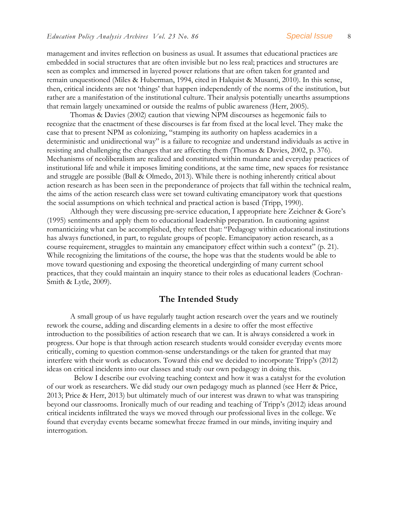management and invites reflection on business as usual. It assumes that educational practices are embedded in social structures that are often invisible but no less real; practices and structures are seen as complex and immersed in layered power relations that are often taken for granted and remain unquestioned (Miles & Huberman, 1994, cited in Halquist & Musanti, 2010). In this sense, then, critical incidents are not 'things' that happen independently of the norms of the institution, but rather are a manifestation of the institutional culture. Their analysis potentially unearths assumptions that remain largely unexamined or outside the realms of public awareness (Herr, 2005).

Thomas & Davies (2002) caution that viewing NPM discourses as hegemonic fails to recognize that the enactment of these discourses is far from fixed at the local level. They make the case that to present NPM as colonizing, "stamping its authority on hapless academics in a deterministic and unidirectional way" is a failure to recognize and understand individuals as active in resisting and challenging the changes that are affecting them (Thomas & Davies, 2002, p. 376). Mechanisms of neoliberalism are realized and constituted within mundane and everyday practices of institutional life and while it imposes limiting conditions, at the same time, new spaces for resistance and struggle are possible (Ball & Olmedo, 2013). While there is nothing inherently critical about action research as has been seen in the preponderance of projects that fall within the technical realm, the aims of the action research class were set toward cultivating emancipatory work that questions the social assumptions on which technical and practical action is based (Tripp, 1990).

Although they were discussing pre-service education, I appropriate here Zeichner & Gore's (1995) sentiments and apply them to educational leadership preparation. In cautioning against romanticizing what can be accomplished, they reflect that: "Pedagogy within educational institutions has always functioned, in part, to regulate groups of people. Emancipatory action research, as a course requirement, struggles to maintain any emancipatory effect within such a context" (p. 21). While recognizing the limitations of the course, the hope was that the students would be able to move toward questioning and exposing the theoretical undergirding of many current school practices, that they could maintain an inquiry stance to their roles as educational leaders (Cochran-Smith & Lytle, 2009).

#### **The Intended Study**

A small group of us have regularly taught action research over the years and we routinely rework the course, adding and discarding elements in a desire to offer the most effective introduction to the possibilities of action research that we can. It is always considered a work in progress. Our hope is that through action research students would consider everyday events more critically, coming to question common-sense understandings or the taken for granted that may interfere with their work as educators. Toward this end we decided to incorporate Tripp's (2012) ideas on critical incidents into our classes and study our own pedagogy in doing this.

 Below I describe our evolving teaching context and how it was a catalyst for the evolution of our work as researchers. We did study our own pedagogy much as planned (see Herr & Price, 2013; Price & Herr, 2013) but ultimately much of our interest was drawn to what was transpiring beyond our classrooms. Ironically much of our reading and teaching of Tripp's (2012) ideas around critical incidents infiltrated the ways we moved through our professional lives in the college. We found that everyday events became somewhat freeze framed in our minds, inviting inquiry and interrogation.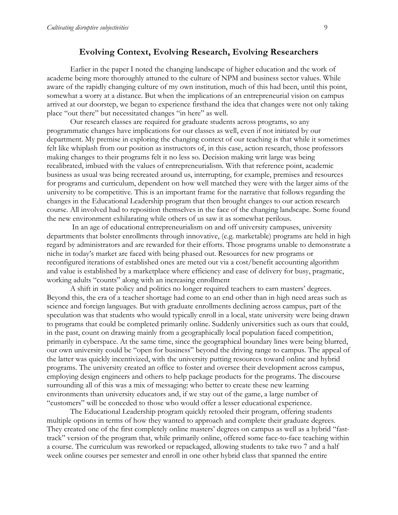#### **Evolving Context, Evolving Research, Evolving Researchers**

Earlier in the paper I noted the changing landscape of higher education and the work of academe being more thoroughly attuned to the culture of NPM and business sector values. While aware of the rapidly changing culture of my own institution, much of this had been, until this point, somewhat a worry at a distance. But when the implications of an entrepreneurial vision on campus arrived at our doorstep, we began to experience firsthand the idea that changes were not only taking place "out there" but necessitated changes "in here" as well.

Our research classes are required for graduate students across programs, so any programmatic changes have implications for our classes as well, even if not initiated by our department. My premise in exploring the changing context of our teaching is that while it sometimes felt like whiplash from our position as instructors of, in this case, action research, those professors making changes to their programs felt it no less so. Decision making writ large was being recalibrated, imbued with the values of entrepreneurialism. With that reference point, academic business as usual was being recreated around us, interrupting, for example, premises and resources for programs and curriculum, dependent on how well matched they were with the larger aims of the university to be competitive. This is an important frame for the narrative that follows regarding the changes in the Educational Leadership program that then brought changes to our action research course. All involved had to reposition themselves in the face of the changing landscape. Some found the new environment exhilarating while others of us saw it as somewhat perilous.

In an age of educational entrepreneurialism on and off university campuses, university departments that bolster enrollments through innovative, (e.g. marketable) programs are held in high regard by administrators and are rewarded for their efforts. Those programs unable to demonstrate a niche in today's market are faced with being phased out. Resources for new programs or reconfigured iterations of established ones are meted out via a cost/benefit accounting algorithm and value is established by a marketplace where efficiency and ease of delivery for busy, pragmatic, working adults "counts" along with an increasing enrollment

A shift in state policy and politics no longer required teachers to earn masters' degrees. Beyond this, the era of a teacher shortage had come to an end other than in high need areas such as science and foreign languages. But with graduate enrollments declining across campus, part of the speculation was that students who would typically enroll in a local, state university were being drawn to programs that could be completed primarily online. Suddenly universities such as ours that could, in the past, count on drawing mainly from a geographically local population faced competition, primarily in cyberspace. At the same time, since the geographical boundary lines were being blurred, our own university could be "open for business" beyond the driving range to campus. The appeal of the latter was quickly incentivized, with the university putting resources toward online and hybrid programs. The university created an office to foster and oversee their development across campus, employing design engineers and others to help package products for the programs. The discourse surrounding all of this was a mix of messaging: who better to create these new learning environments than university educators and, if we stay out of the game, a large number of "customers" will be conceded to those who would offer a lesser educational experience.

The Educational Leadership program quickly retooled their program, offering students multiple options in terms of how they wanted to approach and complete their graduate degrees. They created one of the first completely online masters' degrees on campus as well as a hybrid "fasttrack" version of the program that, while primarily online, offered some face-to-face teaching within a course. The curriculum was reworked or repackaged, allowing students to take two 7 and a half week online courses per semester and enroll in one other hybrid class that spanned the entire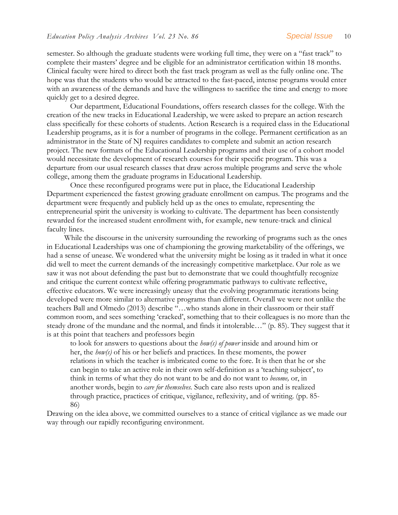semester. So although the graduate students were working full time, they were on a "fast track" to complete their masters' degree and be eligible for an administrator certification within 18 months. Clinical faculty were hired to direct both the fast track program as well as the fully online one. The hope was that the students who would be attracted to the fast-paced, intense programs would enter with an awareness of the demands and have the willingness to sacrifice the time and energy to more quickly get to a desired degree.

Our department, Educational Foundations, offers research classes for the college. With the creation of the new tracks in Educational Leadership, we were asked to prepare an action research class specifically for these cohorts of students. Action Research is a required class in the Educational Leadership programs, as it is for a number of programs in the college. Permanent certification as an administrator in the State of NJ requires candidates to complete and submit an action research project. The new formats of the Educational Leadership programs and their use of a cohort model would necessitate the development of research courses for their specific program. This was a departure from our usual research classes that draw across multiple programs and serve the whole college, among them the graduate programs in Educational Leadership.

Once these reconfigured programs were put in place, the Educational Leadership Department experienced the fastest growing graduate enrollment on campus. The programs and the department were frequently and publicly held up as the ones to emulate, representing the entrepreneurial spirit the university is working to cultivate. The department has been consistently rewarded for the increased student enrollment with, for example, new tenure-track and clinical faculty lines.

 While the discourse in the university surrounding the reworking of programs such as the ones in Educational Leaderships was one of championing the growing marketability of the offerings, we had a sense of unease. We wondered what the university might be losing as it traded in what it once did well to meet the current demands of the increasingly competitive marketplace. Our role as we saw it was not about defending the past but to demonstrate that we could thoughtfully recognize and critique the current context while offering programmatic pathways to cultivate reflective, effective educators. We were increasingly uneasy that the evolving programmatic iterations being developed were more similar to alternative programs than different. Overall we were not unlike the teachers Ball and Olmedo (2013) describe "…who stands alone in their classroom or their staff common room, and sees something 'cracked', something that to their colleagues is no more than the steady drone of the mundane and the normal, and finds it intolerable…" (p. 85). They suggest that it is at this point that teachers and professors begin

to look for answers to questions about the *how(s) of power* inside and around him or her, the *how(s)* of his or her beliefs and practices. In these moments, the power relations in which the teacher is imbricated come to the fore. It is then that he or she can begin to take an active role in their own self-definition as a 'teaching subject', to think in terms of what they do not want to be and do not want to *become,* or, in another words, begin to *care for themselves.* Such care also rests upon and is realized through practice, practices of critique, vigilance, reflexivity, and of writing. (pp. 85- 86)

Drawing on the idea above, we committed ourselves to a stance of critical vigilance as we made our way through our rapidly reconfiguring environment.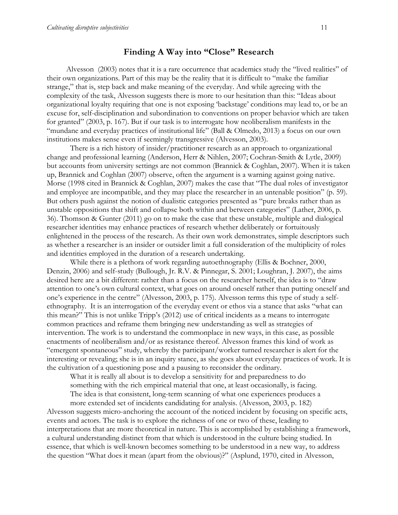#### **Finding A Way into "Close" Research**

 Alvesson (2003) notes that it is a rare occurrence that academics study the "lived realities" of their own organizations. Part of this may be the reality that it is difficult to "make the familiar strange," that is, step back and make meaning of the everyday. And while agreeing with the complexity of the task, Alvesson suggests there is more to our hesitation than this: "Ideas about organizational loyalty requiring that one is not exposing 'backstage' conditions may lead to, or be an excuse for, self-disciplination and subordination to conventions on proper behavior which are taken for granted" (2003, p. 167). But if our task is to interrogate how neoliberalism manifests in the "mundane and everyday practices of institutional life" (Ball & Olmedo, 2013) a focus on our own institutions makes sense even if seemingly transgressive (Alvesson, 2003).

There is a rich history of insider/practitioner research as an approach to organizational change and professional learning (Anderson, Herr & Nihlen, 2007; Cochran-Smith & Lytle, 2009) but accounts from university settings are not common (Brannick & Coghlan, 2007). When it is taken up, Brannick and Coghlan (2007) observe, often the argument is a warning against going native. Morse (1998 cited in Brannick & Coghlan, 2007) makes the case that "The dual roles of investigator and employee are incompatible, and they may place the researcher in an untenable position" (p. 59). But others push against the notion of dualistic categories presented as "pure breaks rather than as unstable oppositions that shift and collapse both within and between categories" (Lather, 2006, p. 36). Thomson & Gunter (2011) go on to make the case that these unstable, multiple and dialogical researcher identities may enhance practices of research whether deliberately or fortuitously enlightened in the process of the research. As their own work demonstrates, simple descriptors such as whether a researcher is an insider or outsider limit a full consideration of the multiplicity of roles and identities employed in the duration of a research undertaking.

While there is a plethora of work regarding autoethnography (Ellis & Bochner, 2000, Denzin, 2006) and self-study (Bullough, Jr. R.V. & Pinnegar, S. 2001; Loughran, J. 2007), the aims desired here are a bit different: rather than a focus on the researcher herself, the idea is to "draw attention to one's own cultural context, what goes on around oneself rather than putting oneself and one's experience in the centre" (Alvesson, 2003, p. 175). Alvesson terms this type of study a selfethnography. It is an interrogation of the everyday event or ethos via a stance that asks "what can this mean?" This is not unlike Tripp's (2012) use of critical incidents as a means to interrogate common practices and reframe them bringing new understanding as well as strategies of intervention. The work is to understand the commonplace in new ways, in this case, as possible enactments of neoliberalism and/or as resistance thereof. Alvesson frames this kind of work as "emergent spontaneous" study, whereby the participant/worker turned researcher is alert for the interesting or revealing; she is in an inquiry stance, as she goes about everyday practices of work. It is the cultivation of a questioning pose and a pausing to reconsider the ordinary.

What it is really all about is to develop a sensitivity for and preparedness to do

something with the rich empirical material that one, at least occasionally, is facing.

The idea is that consistent, long-term scanning of what one experiences produces a

more extended set of incidents candidating for analysis. (Alvesson, 2003, p. 182) Alvesson suggests micro-anchoring the account of the noticed incident by focusing on specific acts, events and actors. The task is to explore the richness of one or two of these, leading to interpretations that are more theoretical in nature. This is accomplished by establishing a framework, a cultural understanding distinct from that which is understood in the culture being studied. In essence, that which is well-known becomes something to be understood in a new way, to address the question "What does it mean (apart from the obvious)?" (Asplund, 1970, cited in Alvesson,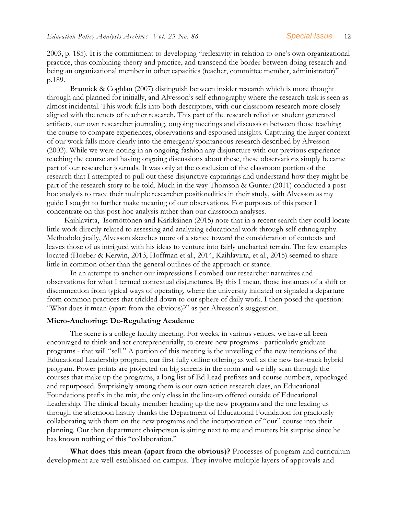2003, p. 185). It is the commitment to developing "reflexivity in relation to one's own organizational practice, thus combining theory and practice, and transcend the border between doing research and being an organizational member in other capacities (teacher, committee member, administrator)" p.189.

Brannick & Coghlan (2007) distinguish between insider research which is more thought through and planned for initially, and Alvesson's self-ethnography where the research task is seen as almost incidental. This work falls into both descriptors, with our classroom research more closely aligned with the tenets of teacher research. This part of the research relied on student generated artifacts, our own researcher journaling, ongoing meetings and discussion between those teaching the course to compare experiences, observations and espoused insights. Capturing the larger context of our work falls more clearly into the emergent/spontaneous research described by Alvesson (2003). While we were noting in an ongoing fashion any disjuncture with our previous experience teaching the course and having ongoing discussions about these, these observations simply became part of our researcher journals. It was only at the conclusion of the classroom portion of the research that I attempted to pull out these disjunctive capturings and understand how they might be part of the research story to be told. Much in the way Thomson & Gunter (2011) conducted a posthoc analysis to trace their multiple researcher positionalities in their study, with Alvesson as my guide I sought to further make meaning of our observations. For purposes of this paper I concentrate on this post-hoc analysis rather than our classroom analyses.

 Kaihlavirta, Isomöttönen and Kärkkäinen (2015) note that in a recent search they could locate little work directly related to assessing and analyzing educational work through self-ethnography. Methodologically, Alvesson sketches more of a stance toward the consideration of contexts and leaves those of us intrigued with his ideas to venture into fairly uncharted terrain. The few examples located (Hoeber & Kerwin, 2013, Hoffman et al., 2014, Kaihlavirta, et al., 2015) seemed to share little in common other than the general outlines of the approach or stance.

 In an attempt to anchor our impressions I combed our researcher narratives and observations for what I termed contextual disjunctures. By this I mean, those instances of a shift or disconnection from typical ways of operating, where the university initiated or signaled a departure from common practices that trickled down to our sphere of daily work. I then posed the question: "What does it mean (apart from the obvious)?" as per Alvesson's suggestion.

#### **Micro-Anchoring: De-Regulating Academe**

The scene is a college faculty meeting. For weeks, in various venues, we have all been encouraged to think and act entrepreneurially, to create new programs - particularly graduate programs - that will "sell." A portion of this meeting is the unveiling of the new iterations of the Educational Leadership program, our first fully online offering as well as the new fast-track hybrid program. Power points are projected on big screens in the room and we idly scan through the courses that make up the programs, a long list of Ed Lead prefixes and course numbers, repackaged and repurposed. Surprisingly among them is our own action research class, an Educational Foundations prefix in the mix, the only class in the line-up offered outside of Educational Leadership. The clinical faculty member heading up the new programs and the one leading us through the afternoon hastily thanks the Department of Educational Foundation for graciously collaborating with them on the new programs and the incorporation of "our" course into their planning. Our then department chairperson is sitting next to me and mutters his surprise since he has known nothing of this "collaboration."

**What does this mean (apart from the obvious)?** Processes of program and curriculum development are well-established on campus. They involve multiple layers of approvals and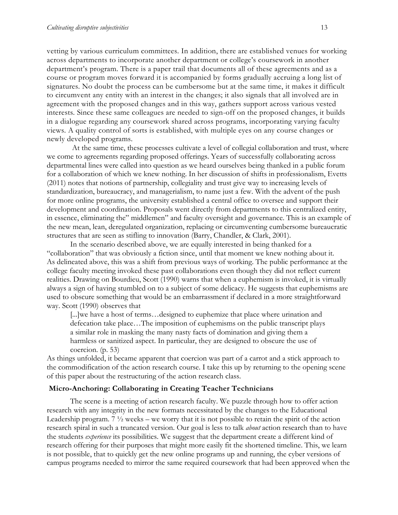vetting by various curriculum committees. In addition, there are established venues for working across departments to incorporate another department or college's coursework in another department's program. There is a paper trail that documents all of these agreements and as a course or program moves forward it is accompanied by forms gradually accruing a long list of signatures. No doubt the process can be cumbersome but at the same time, it makes it difficult to circumvent any entity with an interest in the changes; it also signals that all involved are in agreement with the proposed changes and in this way, gathers support across various vested interests. Since these same colleagues are needed to sign-off on the proposed changes, it builds in a dialogue regarding any coursework shared across programs, incorporating varying faculty views. A quality control of sorts is established, with multiple eyes on any course changes or newly developed programs.

At the same time, these processes cultivate a level of collegial collaboration and trust, where we come to agreements regarding proposed offerings. Years of successfully collaborating across departmental lines were called into question as we heard ourselves being thanked in a public forum for a collaboration of which we knew nothing. In her discussion of shifts in professionalism, Evetts (2011) notes that notions of partnership, collegiality and trust give way to increasing levels of standardization, bureaucracy, and managerialism, to name just a few. With the advent of the push for more online programs, the university established a central office to oversee and support their development and coordination. Proposals went directly from departments to this centralized entity, in essence, eliminating the" middlemen" and faculty oversight and governance. This is an example of the new mean, lean, deregulated organization, replacing or circumventing cumbersome bureaucratic structures that are seen as stifling to innovation (Barry, Chandler, & Clark, 2001).

In the scenario described above, we are equally interested in being thanked for a "collaboration" that was obviously a fiction since, until that moment we knew nothing about it. As delineated above, this was a shift from previous ways of working. The public performance at the college faculty meeting invoked these past collaborations even though they did not reflect current realities. Drawing on Bourdieu, Scott (1990) warns that when a euphemism is invoked, it is virtually always a sign of having stumbled on to a subject of some delicacy. He suggests that euphemisms are used to obscure something that would be an embarrassment if declared in a more straightforward way. Scott (1990) observes that

[...]we have a host of terms…designed to euphemize that place where urination and defecation take place…The imposition of euphemisms on the public transcript plays a similar role in masking the many nasty facts of domination and giving them a harmless or sanitized aspect. In particular, they are designed to obscure the use of coercion. (p. 53)

As things unfolded, it became apparent that coercion was part of a carrot and a stick approach to the commodification of the action research course. I take this up by returning to the opening scene of this paper about the restructuring of the action research class.

#### **Micro-Anchoring: Collaborating in Creating Teacher Technicians**

The scene is a meeting of action research faculty. We puzzle through how to offer action research with any integrity in the new formats necessitated by the changes to the Educational Leadership program.  $7\frac{1}{2}$  weeks – we worry that it is not possible to retain the spirit of the action research spiral in such a truncated version. Our goal is less to talk *about* action research than to have the students *experience* its possibilities. We suggest that the department create a different kind of research offering for their purposes that might more easily fit the shortened timeline. This, we learn is not possible, that to quickly get the new online programs up and running, the cyber versions of campus programs needed to mirror the same required coursework that had been approved when the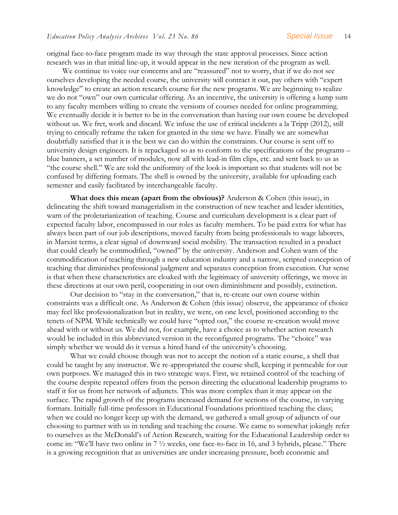original face-to-face program made its way through the state approval processes. Since action research was in that initial line-up, it would appear in the new iteration of the program as well.

 We continue to voice our concerns and are "reassured" not to worry, that if we do not see ourselves developing the needed course, the university will contract it out, pay others with "expert knowledge" to create an action research course for the new programs. We are beginning to realize we do not "own" our own curricular offering. As an incentive, the university is offering a lump sum to any faculty members willing to create the versions of courses needed for online programming. We eventually decide it is better to be in the conversation than having our own course be developed without us. We fret, work and discard. We infuse the use of critical incidents a la Tripp (2012), still trying to critically reframe the taken for granted in the time we have. Finally we are somewhat doubtfully satisfied that it is the best we can do within the constraints. Our course is sent off to university design engineers. It is repackaged so as to conform to the specifications of the programs – blue banners, a set number of modules, now all with lead-in film clips, etc. and sent back to us as "the course shell." We are told the uniformity of the look is important so that students will not be confused by differing formats. The shell is owned by the university, available for uploading each semester and easily facilitated by interchangeable faculty.

**What does this mean (apart from the obvious)?** Anderson & Cohen (this issue), in delineating the shift toward managerialism in the construction of new teacher and leader identities, warn of the proletarianization of teaching. Course and curriculum development is a clear part of expected faculty labor, encompassed in our roles as faculty members. To be paid extra for what has always been part of our job descriptions, moved faculty from being professionals to wage laborers, in Marxist terms, a clear signal of downward social mobility. The transaction resulted in a product that could clearly be commodified, "owned" by the university. Anderson and Cohen warn of the commodification of teaching through a new education industry and a narrow, scripted conception of teaching that diminishes professional judgment and separates conception from execution. Our sense is that when these characteristics are cloaked with the legitimacy of university offerings, we move in these directions at our own peril, cooperating in our own diminishment and possibly, extinction.

Our decision to "stay in the conversation," that is, re-create our own course within constraints was a difficult one. As Anderson & Cohen (this issue) observe, the appearance of choice may feel like professionalization but in reality, we were, on one level, positioned according to the tenets of NPM. While technically we could have "opted out," the course re-creation would move ahead with or without us. We did not, for example, have a choice as to whether action research would be included in this abbreviated version in the reconfigured programs. The "choice" was simply whether we would do it versus a hired hand of the university's choosing.

What we could choose though was not to accept the notion of a static course, a shell that could be taught by any instructor. We re-appropriated the course shell, keeping it permeable for our own purposes. We managed this in two strategic ways. First, we retained control of the teaching of the course despite repeated offers from the person directing the educational leadership programs to staff it for us from her network of adjuncts. This was more complex than it may appear on the surface. The rapid growth of the programs increased demand for sections of the course, in varying formats. Initially full-time professors in Educational Foundations prioritized teaching the class; when we could no longer keep up with the demand, we gathered a small group of adjuncts of our choosing to partner with us in tending and teaching the course. We came to somewhat jokingly refer to ourselves as the McDonald's of Action Research, waiting for the Educational Leadership order to come in: "We'll have two online in 7 ½ weeks, one face-to-face in 16, and 3 hybrids, please." There is a growing recognition that as universities are under increasing pressure, both economic and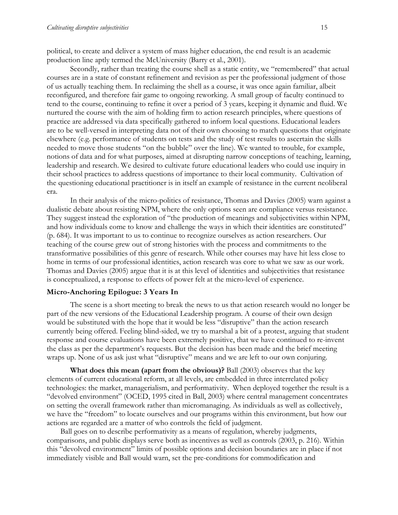political, to create and deliver a system of mass higher education, the end result is an academic production line aptly termed the McUniversity (Barry et al., 2001).

Secondly, rather than treating the course shell as a static entity, we "remembered" that actual courses are in a state of constant refinement and revision as per the professional judgment of those of us actually teaching them. In reclaiming the shell as a course, it was once again familiar, albeit reconfigured, and therefore fair game to ongoing reworking. A small group of faculty continued to tend to the course, continuing to refine it over a period of 3 years, keeping it dynamic and fluid. We nurtured the course with the aim of holding firm to action research principles, where questions of practice are addressed via data specifically gathered to inform local questions. Educational leaders are to be well-versed in interpreting data not of their own choosing to match questions that originate elsewhere (e.g. performance of students on tests and the study of test results to ascertain the skills needed to move those students "on the bubble" over the line). We wanted to trouble, for example, notions of data and for what purposes, aimed at disrupting narrow conceptions of teaching, learning, leadership and research. We desired to cultivate future educational leaders who could use inquiry in their school practices to address questions of importance to their local community. Cultivation of the questioning educational practitioner is in itself an example of resistance in the current neoliberal era.

In their analysis of the micro-politics of resistance, Thomas and Davies (2005) warn against a dualistic debate about resisting NPM, where the only options seen are compliance versus resistance. They suggest instead the exploration of "the production of meanings and subjectivities within NPM, and how individuals come to know and challenge the ways in which their identities are constituted" (p. 684). It was important to us to continue to recognize ourselves as action researchers. Our teaching of the course grew out of strong histories with the process and commitments to the transformative possibilities of this genre of research. While other courses may have hit less close to home in terms of our professional identities, action research was core to what we saw as our work. Thomas and Davies (2005) argue that it is at this level of identities and subjectivities that resistance is conceptualized, a response to effects of power felt at the micro-level of experience.

#### **Micro-Anchoring Epilogue: 3 Years In**

The scene is a short meeting to break the news to us that action research would no longer be part of the new versions of the Educational Leadership program. A course of their own design would be substituted with the hope that it would be less "disruptive" than the action research currently being offered. Feeling blind-sided, we try to marshal a bit of a protest, arguing that student response and course evaluations have been extremely positive, that we have continued to re-invent the class as per the department's requests. But the decision has been made and the brief meeting wraps up. None of us ask just what "disruptive" means and we are left to our own conjuring.

**What does this mean (apart from the obvious)?** Ball (2003) observes that the key elements of current educational reform, at all levels, are embedded in three interrelated policy technologies: the market, managerialism, and performativity. When deployed together the result is a "devolved environment" (OCED, 1995 cited in Ball, 2003) where central management concentrates on setting the overall framework rather than micromanaging. As individuals as well as collectively, we have the "freedom" to locate ourselves and our programs within this environment, but how our actions are regarded are a matter of who controls the field of judgment.

 Ball goes on to describe performativity as a means of regulation, whereby judgments, comparisons, and public displays serve both as incentives as well as controls (2003, p. 216). Within this "devolved environment" limits of possible options and decision boundaries are in place if not immediately visible and Ball would warn, set the pre-conditions for commodification and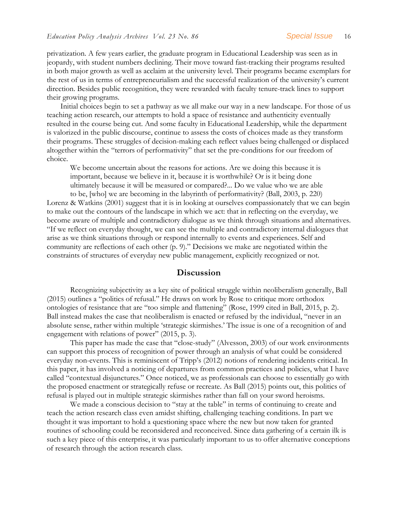privatization. A few years earlier, the graduate program in Educational Leadership was seen as in jeopardy, with student numbers declining. Their move toward fast-tracking their programs resulted in both major growth as well as acclaim at the university level. Their programs became exemplars for the rest of us in terms of entrepreneurialism and the successful realization of the university's current direction. Besides public recognition, they were rewarded with faculty tenure-track lines to support their growing programs.

 Initial choices begin to set a pathway as we all make our way in a new landscape. For those of us teaching action research, our attempts to hold a space of resistance and authenticity eventually resulted in the course being cut. And some faculty in Educational Leadership, while the department is valorized in the public discourse, continue to assess the costs of choices made as they transform their programs. These struggles of decision-making each reflect values being challenged or displaced altogether within the "terrors of performativity" that set the pre-conditions for our freedom of choice.

We become uncertain about the reasons for actions. Are we doing this because it is important, because we believe in it, because it is worthwhile? Or is it being done ultimately because it will be measured or compared?... Do we value who we are able

to be, [who] we are becoming in the labyrinth of performativity? (Ball, 2003, p. 220) Lorenz & Watkins (2001) suggest that it is in looking at ourselves compassionately that we can begin to make out the contours of the landscape in which we act: that in reflecting on the everyday, we become aware of multiple and contradictory dialogue as we think through situations and alternatives. "If we reflect on everyday thought, we can see the multiple and contradictory internal dialogues that arise as we think situations through or respond internally to events and experiences. Self and community are reflections of each other (p. 9)." Decisions we make are negotiated within the constraints of structures of everyday new public management, explicitly recognized or not.

#### **Discussion**

Recognizing subjectivity as a key site of political struggle within neoliberalism generally, Ball (2015) outlines a "politics of refusal." He draws on work by Rose to critique more orthodox ontologies of resistance that are "too simple and flattening" (Rose, 1999 cited in Ball, 2015, p. 2). Ball instead makes the case that neoliberalism is enacted or refused by the individual, "never in an absolute sense, rather within multiple 'strategic skirmishes.' The issue is one of a recognition of and engagement with relations of power" (2015, p. 3).

This paper has made the case that "close-study" (Alvesson, 2003) of our work environments can support this process of recognition of power through an analysis of what could be considered everyday non-events. This is reminiscent of Tripp's (2012) notions of rendering incidents critical. In this paper, it has involved a noticing of departures from common practices and policies, what I have called "contextual disjunctures." Once noticed, we as professionals can choose to essentially go with the proposed enactment or strategically refuse or recreate. As Ball (2015) points out, this politics of refusal is played out in multiple strategic skirmishes rather than fall on your sword heroisms.

We made a conscious decision to "stay at the table" in terms of continuing to create and teach the action research class even amidst shifting, challenging teaching conditions. In part we thought it was important to hold a questioning space where the new but now taken for granted routines of schooling could be reconsidered and reconceived. Since data gathering of a certain ilk is such a key piece of this enterprise, it was particularly important to us to offer alternative conceptions of research through the action research class.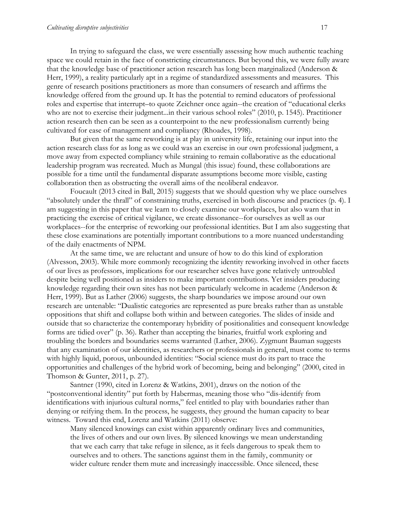In trying to safeguard the class, we were essentially assessing how much authentic teaching space we could retain in the face of constricting circumstances. But beyond this, we were fully aware that the knowledge base of practitioner action research has long been marginalized (Anderson & Herr, 1999), a reality particularly apt in a regime of standardized assessments and measures. This genre of research positions practitioners as more than consumers of research and affirms the knowledge offered from the ground up. It has the potential to remind educators of professional roles and expertise that interrupt–to quote Zeichner once again--the creation of "educational clerks who are not to exercise their judgment...in their various school roles" (2010, p. 1545). Practitioner action research then can be seen as a counterpoint to the new professionalism currently being cultivated for ease of management and compliancy (Rhoades, 1998).

But given that the same reworking is at play in university life, retaining our input into the action research class for as long as we could was an exercise in our own professional judgment, a move away from expected compliancy while straining to remain collaborative as the educational leadership program was recreated. Much as Mungal (this issue) found, these collaborations are possible for a time until the fundamental disparate assumptions become more visible, casting collaboration then as obstructing the overall aims of the neoliberal endeavor.

Foucault (2013 cited in Ball, 2015) suggests that we should question why we place ourselves "absolutely under the thrall" of constraining truths, exercised in both discourse and practices (p. 4). I am suggesting in this paper that we learn to closely examine our workplaces, but also warn that in practicing the exercise of critical vigilance, we create dissonance--for ourselves as well as our workplaces--for the enterprise of reworking our professional identities. But I am also suggesting that these close examinations are potentially important contributions to a more nuanced understanding of the daily enactments of NPM.

At the same time, we are reluctant and unsure of how to do this kind of exploration (Alvesson, 2003). While more commonly recognizing the identity reworking involved in other facets of our lives as professors, implications for our researcher selves have gone relatively untroubled despite being well positioned as insiders to make important contributions. Yet insiders producing knowledge regarding their own sites has not been particularly welcome in academe (Anderson & Herr, 1999). But as Lather (2006) suggests, the sharp boundaries we impose around our own research are untenable: "Dualistic categories are represented as pure breaks rather than as unstable oppositions that shift and collapse both within and between categories. The slides of inside and outside that so characterize the contemporary hybridity of positionalities and consequent knowledge forms are tidied over" (p. 36). Rather than accepting the binaries, fruitful work exploring and troubling the borders and boundaries seems warranted (Lather, 2006). Zygmunt Bauman suggests that any examination of our identities, as researchers or professionals in general, must come to terms with highly liquid, porous, unbounded identities: "Social science must do its part to trace the opportunities and challenges of the hybrid work of becoming, being and belonging" (2000, cited in Thomson & Gunter, 2011, p. 27).

Santner (1990, cited in Lorenz & Watkins, 2001), draws on the notion of the "postconventional identity" put forth by Habermas, meaning those who "dis-identify from identifications with injurious cultural norms," feel entitled to play with boundaries rather than denying or reifying them. In the process, he suggests, they ground the human capacity to bear witness. Toward this end, Lorenz and Watkins (2011) observe:

Many silenced knowings can exist within apparently ordinary lives and communities, the lives of others and our own lives. By silenced knowings we mean understanding that we each carry that take refuge in silence, as it feels dangerous to speak them to ourselves and to others. The sanctions against them in the family, community or wider culture render them mute and increasingly inaccessible. Once silenced, these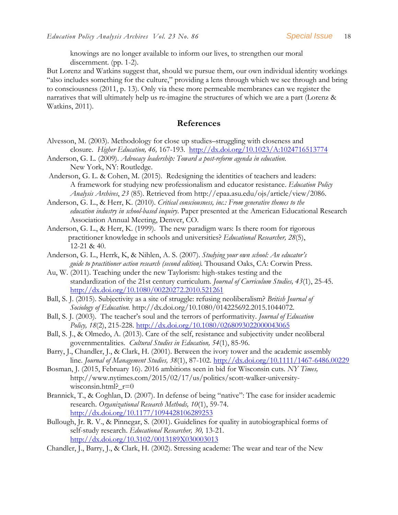knowings are no longer available to inform our lives, to strengthen our moral discernment. (pp. 1-2).

But Lorenz and Watkins suggest that, should we pursue them, our own individual identity workings "also includes something for the culture," providing a lens through which we see through and bring to consciousness (2011, p. 13). Only via these more permeable membranes can we register the narratives that will ultimately help us re-imagine the structures of which we are a part (Lorenz & Watkins, 2011).

#### **References**

- Alvesson, M. (2003). Methodology for close up studies–struggling with closeness and closure. *Higher Education, 46,* 167-193. <http://dx.doi.org/10.1023/A:1024716513774>
- Anderson, G. L. (2009). *Advocacy leadership: Toward a post-reform agenda in education.*  New York, NY: Routledge.
- Anderson, G. L. & Cohen, M. (2015). Redesigning the identities of teachers and leaders: A framework for studying new professionalism and educator resistance. *Education Policy Analysis Archives*, *23* (85). Retrieved from http://epaa.asu.edu/ojs/article/view/2086.
- Anderson, G. L., & Herr, K. (2010). *Critical consciousness, inc.: From generative themes to the education industry in school-based inquiry*. Paper presented at the American Educational Research Association Annual Meeting, Denver, CO.
- Anderson, G. L., & Herr, K. (1999). The new paradigm wars: Is there room for rigorous practitioner knowledge in schools and universities? *Educational Researcher, 28*(5), 12-21 & 40.
- Anderson, G. L., Herrk, K, & Nihlen, A. S. (2007). *Studying your own school: An educator's guide to practitioner action research (second edition).* Thousand Oaks, CA: Corwin Press.
- Au, W. (2011). Teaching under the new Taylorism: high-stakes testing and the standardization of the 21st century curriculum. *Journal of Curriculum Studies, 43*(1), 25-45. <http://dx.doi.org/10.1080/00220272.2010.521261>
- Ball, S. J. (2015). Subjectivity as a site of struggle: refusing neoliberalism? *British Journal of Sociology of Education.* http://dx.doi.org/10.1080/014225692.2015.1044072.
- Ball, S. J. (2003). The teacher's soul and the terrors of performativity. *Journal of Education Policy, 18*(2), 215-228. <http://dx.doi.org/10.1080/0268093022000043065>
- Ball, S. J., & Olmedo, A. (2013). Care of the self, resistance and subjectivity under neoliberal governmentalities. *Cultural Studies in Education, 54*(1), 85-96.
- Barry, J., Chandler, J., & Clark, H. (2001). Between the ivory tower and the academic assembly line. *Journal of Management Studies, 38*(1), 87-102.<http://dx.doi.org/10.1111/1467-6486.00229>
- Bosman, J. (2015, February 16). 2016 ambitions seen in bid for Wisconsin cuts. *NY Times,*  http://www.nytimes.com/2015/02/17/us/politics/scott-walker-universitywisconsin.html?\_r=0
- Brannick, T., & Coghlan, D. (2007). In defense of being "native": The case for insider academic research. *Organizational Research Methods, 10*(1), 59-74. <http://dx.doi.org/10.1177/1094428106289253>
- Bullough, Jr. R. V., & Pinnegar, S. (2001). Guidelines for quality in autobiographical forms of self-study research. *Educational Researcher, 30,* 13-21. <http://dx.doi.org/10.3102/0013189X030003013>

Chandler, J., Barry, J., & Clark, H. (2002). Stressing academe: The wear and tear of the New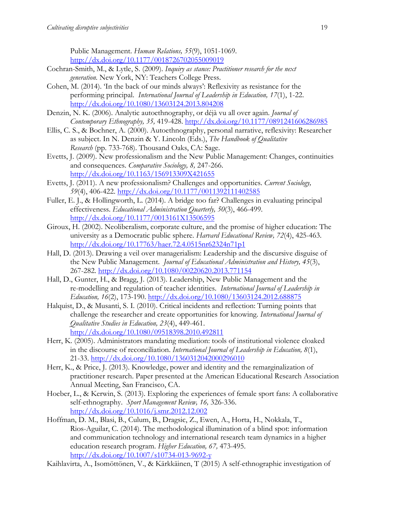Public Management. *Human Relations, 55*(9), 1051-1069. <http://dx.doi.org/10.1177/0018726702055009019>

- Cochran-Smith, M., & Lytle, S. (2009). *Inquiry as stance: Practitioner research for the next generation.* New York, NY: Teachers College Press.
- Cohen, M. (2014). 'In the back of our minds always': Reflexivity as resistance for the performing principal. *International Journal of Leadership in Education, 17*(1), 1-22. <http://dx.doi.org/10.1080/13603124.2013.804208>
- Denzin, N. K. (2006). Analytic autoethnography, or déjà vu all over again. *Journal of Contemporary Ethnography, 35,* 419-428. <http://dx.doi.org/10.1177/0891241606286985>
- Ellis, C. S., & Bochner, A. (2000). Autoethnography, personal narrative, reflexivity: Researcher as subject. In N. Denzin & Y. Lincoln (Eds.), *The Handbook of Qualitative Research* (pp. 733-768). Thousand Oaks, CA: Sage.
- Evetts, J. (2009). New professionalism and the New Public Management: Changes, continuities and consequences. *Comparative Sociology, 8,* 247-266. <http://dx.doi.org/10.1163/156913309X421655>
- Evetts, J. (2011). A new professionalism? Challenges and opportunities. *Current Sociology, 59*(4), 406-422. <http://dx.doi.org/10.1177/0011392111402585>
- Fuller, E. J., & Hollingworth, L. (2014). A bridge too far? Challenges in evaluating principal effectiveness. *Educational Administration Quarterly, 50*(3), 466-499. <http://dx.doi.org/10.1177/0013161X13506595>
- Giroux, H. (2002). Neoliberalism, corporate culture, and the promise of higher education: The university as a Democratic public sphere. *Harvard Educational Review, 72*(4), 425-463. <http://dx.doi.org/10.17763/haer.72.4.0515nr62324n71p1>
- Hall, D. (2013). Drawing a veil over managerialism: Leadership and the discursive disguise of the New Public Management. *Journal of Educational Administration and History, 45*(3), 267-282. <http://dx.doi.org/10.1080/00220620.2013.771154>
- Hall, D., Gunter, H., & Bragg, J. (2013). Leadership, New Public Management and the re-modelling and regulation of teacher identities. *International Journal of Leadership in Education, 16*(2), 173-190. <http://dx.doi.org/10.1080/13603124.2012.688875>
- Halquist, D., & Musanti, S. I. (2010). Critical incidents and reflection: Turning points that challenge the researcher and create opportunities for knowing. *International Journal of Qualitative Studies in Education, 23*(4), 449-461. <http://dx.doi.org/10.1080/09518398.2010.492811>
- Herr, K. (2005). Administrators mandating mediation: tools of institutional violence cloaked in the discourse of reconciliation. *International Journal of Leadership in Education, 8*(1), 21-33. <http://dx.doi.org/10.1080/1360312042000296010>
- Herr, K., & Price, J. (2013). Knowledge, power and identity and the remarginalization of practitioner research. Paper presented at the American Educational Research Association Annual Meeting, San Francisco, CA.
- Hoeber, L., & Kerwin, S. (2013). Exploring the experiences of female sport fans: A collaborative self-ethnography. *Sport Management Review, 16,* 326-336. <http://dx.doi.org/10.1016/j.smr.2012.12.002>
- Hoffman, D. M., Blasi, B., Culum, B., Dragsic, Z., Ewen, A., Horta, H., Nokkala, T., Rios-Aguilar, C. (2014). The methodological illumination of a blind spot: information and communication technology and international research team dynamics in a higher education research program. *Higher Education, 67,* 473-495. <http://dx.doi.org/10.1007/s10734-013-9692-y>
- Kaihlavirta, A., Isomöttönen, V., & Kärkkäinen, T (2015) A self-ethnographic investigation of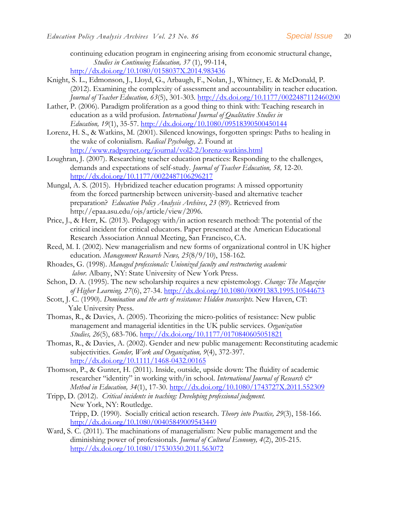continuing education program in engineering arising from economic structural change, *Studies in Continuing Education, 37* (1), 99-114, <http://dx.doi.org/10.1080/0158037X.2014.983436>

- Knight, S. L., Edmonson, J., Lloyd, G., Arbaugh, F., Nolan, J., Whitney, E. & McDonald, P. (2012). Examining the complexity of assessment and accountability in teacher education. *Journal of Teacher Education, 63*(5), 301-303.<http://dx.doi.org/10.1177/0022487112460200>
- Lather, P. (2006). Paradigm proliferation as a good thing to think with: Teaching research in education as a wild profusion. *International Journal of Qualitative Studies in Education, 19*(1), 35-57.<http://dx.doi.org/10.1080/09518390500450144>
- Lorenz, H. S., & Watkins, M. (2001). Silenced knowings, forgotten springs: Paths to healing in the wake of colonialism. *Radical Psychology, 2*. Found at <http://www.radpsynet.org/journal/vol2-2/lorenz-watkins.html>
- Loughran, J. (2007). Researching teacher education practices: Responding to the challenges, demands and expectations of self-study. *Journal of Teacher Education, 58,* 12-20. <http://dx.doi.org/10.1177/0022487106296217>
- Mungal, A. S. (2015). Hybridized teacher education programs: A missed opportunity from the forced partnership between university-based and alternative teacher preparation? *Education Policy Analysis Archives*, *23* (89). Retrieved from http://epaa.asu.edu/ojs/article/view/2096.
- Price, J., & Herr, K. (2013). Pedagogy with/in action research method: The potential of the critical incident for critical educators. Paper presented at the American Educational Research Association Annual Meeting, San Francisco, CA.
- Reed, M. I. (2002). New managerialism and new forms of organizational control in UK higher education. *Management Research News, 25*(8/9/10), 158-162.
- Rhoades, G. (1998). *Managed professionals: Unionized faculty and restructuring academic labor.* Albany, NY: State University of New York Press.
- Schon, D. A. (1995). The new scholarship requires a new epistemology. *Change: The Magazine of Higher Learning, 27*(6), 27-34. <http://dx.doi.org/10.1080/00091383.1995.10544673>
- Scott, J. C. (1990). *Domination and the arts of resistance: Hidden transcripts.* New Haven, CT: Yale University Press.
- Thomas, R., & Davies, A. (2005). Theorizing the micro-politics of resistance: New public management and managerial identities in the UK public services. *Organization Studies, 26*(5), 683-706.<http://dx.doi.org/10.1177/0170840605051821>
- Thomas, R., & Davies, A. (2002). Gender and new public management: Reconstituting academic subjectivities. *Gender, Work and Organization, 9*(4), 372-397. <http://dx.doi.org/10.1111/1468-0432.00165>
- Thomson, P., & Gunter, H. (2011). Inside, outside, upside down: The fluidity of academic researcher "identity" in working with/in school. *International Journal of Research & Method in Education, 34*(1), 17-30. <http://dx.doi.org/10.1080/1743727X.2011.552309>
- Tripp, D. (2012). *Critical incidents in teaching: Developing professional judgment.*  New York, NY: Routledge. Tripp, D. (1990). Socially critical action research. *Theory into Practice, 29*(3), 158-166. <http://dx.doi.org/10.1080/00405849009543449>
- Ward, S. C. (2011). The machinations of managerialism: New public management and the diminishing power of professionals. *Journal of Cultural Economy, 4*(2), 205-215. <http://dx.doi.org/10.1080/17530350.2011.563072>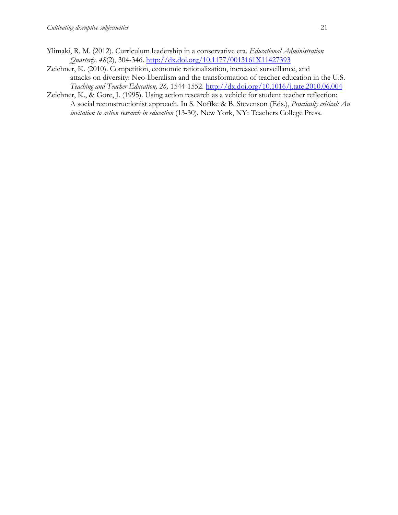- Ylimaki, R. M. (2012). Curriculum leadership in a conservative era. *Educational Administration Quarterly, 48*(2), 304-346.<http://dx.doi.org/10.1177/0013161X11427393>
- Zeichner, K. (2010). Competition, economic rationalization, increased surveillance, and attacks on diversity: Neo-liberalism and the transformation of teacher education in the U.S. *Teaching and Teacher Education, 26,* 1544-1552. <http://dx.doi.org/10.1016/j.tate.2010.06.004>
- Zeichner, K., & Gore, J. (1995). Using action research as a vehicle for student teacher reflection: A social reconstructionist approach. In S. Noffke & B. Stevenson (Eds.), *Practically critical: An invitation to action research in education* (13-30)*.* New York, NY: Teachers College Press.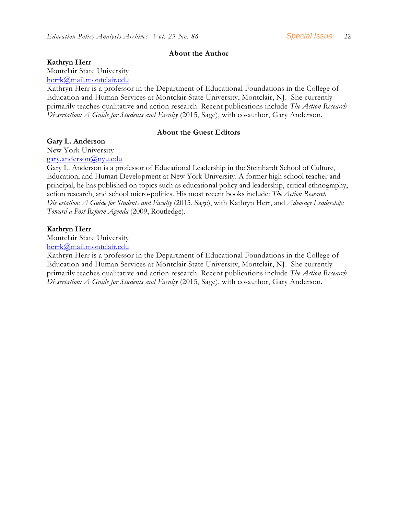#### **About the Author**

#### **Kathryn Herr**

Montclair State University

[herrk@mail.montclair.edu](mailto:herrk@mail.montclair.edu)

Kathryn Herr is a professor in the Department of Educational Foundations in the College of Education and Human Services at Montclair State University, Montclair, NJ. She currently primarily teaches qualitative and action research. Recent publications include *The Action Research Dissertation: A Guide for Students and Faculty* (2015, Sage), with co-author, Gary Anderson.

#### **About the Guest Editors**

#### **Gary L. Anderson**

New York University [gary.anderson@nyu.edu](mailto:gary.anderson@nyu.edu)

Gary L. Anderson is a professor of Educational Leadership in the Steinhardt School of Culture, Education, and Human Development at New York University. A former high school teacher and principal, he has published on topics such as educational policy and leadership, critical ethnography, action research, and school micro-politics. His most recent books include: *The Action Research Dissertation: A Guide for Students and Faculty* (2015, Sage), with Kathryn Herr, and *Advocacy Leadership: Toward a Post-Reform Agenda* (2009, Routledge).

#### **Kathryn Herr**

Montclair State University

[herrk@mail.montclair.edu](mailto:herrk@mail.montclair.edu)

Kathryn Herr is a professor in the Department of Educational Foundations in the College of Education and Human Services at Montclair State University, Montclair, NJ. She currently primarily teaches qualitative and action research. Recent publications include *The Action Research Dissertation: A Guide for Students and Faculty* (2015, Sage), with co-author, Gary Anderson.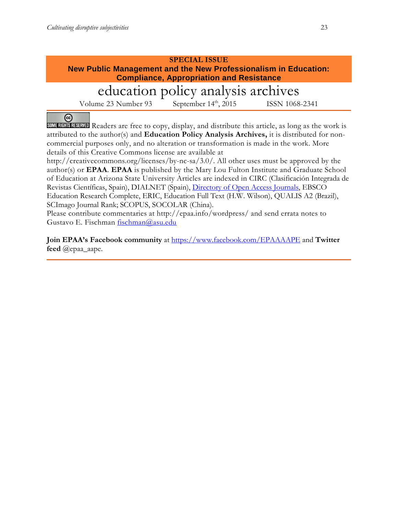#### **SPECIAL ISSUE New Public Management and the New Professionalism in Education: Compliance, Appropriation and Resistance**

# education policy analysis archives

Volume 23 Number 93 September 14<sup>th</sup>, 2015 ISSN 1068-2341

@ **SOME RIGHTS RESERVED** Readers are free to copy, display, and distribute this article, as long as the work is attributed to the author(s) and **Education Policy Analysis Archives,** it is distributed for noncommercial purposes only, and no alteration or transformation is made in the work. More details of this Creative Commons license are available at

http://creativecommons.org/licenses/by-nc-sa/3.0/. All other uses must be approved by the author(s) or **EPAA**. **EPAA** is published by the Mary Lou Fulton Institute and Graduate School of Education at Arizona State University Articles are indexed in CIRC (Clasificación Integrada de Revistas Científicas, Spain), DIALNET (Spain), [Directory of Open Access Journals,](http://www.doaj.org/) EBSCO Education Research Complete, ERIC, Education Full Text (H.W. Wilson), QUALIS A2 (Brazil), SCImago Journal Rank; SCOPUS, SOCOLAR (China).

Please contribute commentaries at http://epaa.info/wordpress/ and send errata notes to Gustavo E. Fischman [fischman@asu.edu](mailto:fischman@asu.edu)

**Join EPAA's Facebook community** at<https://www.facebook.com/EPAAAAPE> and **Twitter feed** @epaa\_aape.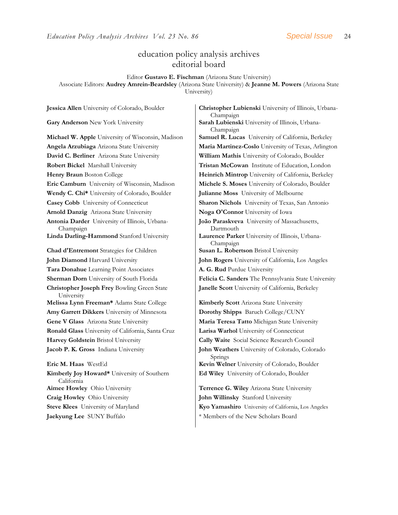### education policy analysis archives editorial board

Editor **Gustavo E. Fischman** (Arizona State University) Associate Editors: **Audrey Amrein-Beardsley** (Arizona State University) & **Jeanne M. Powers** (Arizona State University)

**David C. Berliner** Arizona State University **William Mathis** University of Colorado, Boulder **Robert Bickel** Marshall University **Tristan McCowan** Institute of Education, London **Eric Camburn** University of Wisconsin, Madison | Michele S. Moses University of Colorado, Boulder **Wendy C. Chi\*** University of Colorado, Boulder **Julianne Moss** University of Melbourne **Casey Cobb** University of Connecticut **Sharon Nichols** University of Texas, San Antonio **Arnold Danzig** Arizona State University **Noga O'Connor** University of Iowa **Antonia Darder** University of Illinois, Urbana-Champaign **Linda Darling-Hammond** Stanford University **Laurence Parker** University of Illinois, Urbana-**Chad d'Entremont** Strategies for Children **Susan L. Robertson** Bristol University **John Diamond** Harvard University **John Rogers** University of California, Los Angeles **Tara Donahue** Learning Point Associates **A. G. Rud** Purdue University **Christopher Joseph Frey** Bowling Green State University **Melissa Lynn Freeman\*** Adams State College **Kimberly Scott** Arizona State University **Amy Garrett Dikkers** University of Minnesota **Dorothy Shipps** Baruch College/CUNY **Gene V Glass** Arizona State University **Maria Teresa Tatto** Michigan State University **Ronald Glass** University of California, Santa Cruz **Larisa Warhol** University of Connecticut **Harvey Goldstein** Bristol University **Cally Waite** Social Science Research Council **Jacob P. K. Gross** Indiana University **John Weathers** University of Colorado, Colorado **Eric M. Haas** WestEd **Kevin Welner** University of Colorado, Boulder **Kimberly Joy Howard\*** University of Southern California **Aimee Howley** Ohio University **Terrence G. Wiley** Arizona State University **Craig Howley** Ohio University **John Willinsky** Stanford University

**Jessica Allen** University of Colorado, Boulder **Christopher Lubienski** University of Illinois, Urbana-Champaign **Gary Anderson** New York University **Sarah Lubienski University of Illinois**, Urbana-Champaign **Michael W. Apple** University of Wisconsin, Madison **Samuel R. Lucas** University of California, Berkeley **Angela Arzubiaga** Arizona State University **Maria Martinez-Coslo** University of Texas, Arlington **Henry Braun** Boston College **Heinrich Mintrop** University of California, Berkeley **João Paraskveva** University of Massachusetts, Dartmouth Champaign **Sherman Dorn** University of South Florida **Felicia C. Sanders** The Pennsylvania State University **Janelle Scott** University of California, Berkeley Springs

**Ed Wiley** University of Colorado, Boulder

**Steve Klees** University of Maryland **Kyo Yamashiro** University of California, Los Angeles **Jaekyung Lee** SUNY Buffalo \* \* Members of the New Scholars Board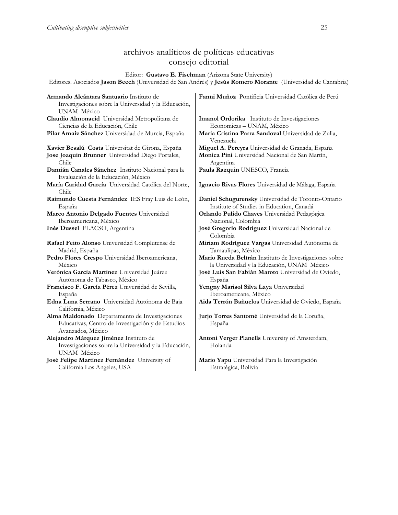## archivos analíticos de políticas educativas consejo editorial

Editor: **Gustavo E. Fischman** (Arizona State University) Editores. Asociados **Jason Beech** (Universidad de San Andrés) y **Jesús Romero Morante** (Universidad de Cantabria)

| Armando Alcántara Santuario Instituto de<br>Investigaciones sobre la Universidad y la Educación,<br>UNAM México          | Fanni Muñoz Pontificia Universidad Católica de Perú              |
|--------------------------------------------------------------------------------------------------------------------------|------------------------------------------------------------------|
| Claudio Almonacid Universidad Metropolitana de                                                                           | Imanol Ordorika Instituto de Investigaciones                     |
| Ciencias de la Educación, Chile                                                                                          | Economicas - UNAM, México                                        |
| Pilar Arnaiz Sánchez Universidad de Murcia, España                                                                       | Maria Cristina Parra Sandoval Universidad de Zulia,<br>Venezuela |
| Xavier Besalú Costa Universitat de Girona, España                                                                        | Miguel A. Pereyra Universidad de Granada, España                 |
| Jose Joaquin Brunner Universidad Diego Portales,                                                                         | Monica Pini Universidad Nacional de San Martín,                  |
| Chile                                                                                                                    | Argentina                                                        |
| Damián Canales Sánchez Instituto Nacional para la<br>Evaluación de la Educación, México                                  | Paula Razquin UNESCO, Francia                                    |
| María Caridad García Universidad Católica del Norte,<br>Chile                                                            | Ignacio Rivas Flores Universidad de Málaga, España               |
| Raimundo Cuesta Fernández IES Fray Luis de León,                                                                         | Daniel Schugurensky Universidad de Toronto-Ontario               |
| España                                                                                                                   | Institute of Studies in Education, Canadá                        |
| Marco Antonio Delgado Fuentes Universidad                                                                                | Orlando Pulido Chaves Universidad Pedagógica                     |
| Iberoamericana, México                                                                                                   | Nacional, Colombia                                               |
| Inés Dussel FLACSO, Argentina                                                                                            | José Gregorio Rodríguez Universidad Nacional de<br>Colombia      |
| Rafael Feito Alonso Universidad Complutense de                                                                           | Miriam Rodríguez Vargas Universidad Autónoma de                  |
| Madrid, España                                                                                                           | Tamaulipas, México                                               |
| Pedro Flores Crespo Universidad Iberoamericana,                                                                          | Mario Rueda Beltrán Instituto de Investigaciones sobre           |
| México                                                                                                                   | la Universidad y la Educación, UNAM México                       |
| Verónica García Martínez Universidad Juárez                                                                              | José Luis San Fabián Maroto Universidad de Oviedo,               |
| Autónoma de Tabasco, México                                                                                              | España                                                           |
| Francisco F. García Pérez Universidad de Sevilla,                                                                        | Yengny Marisol Silva Laya Universidad                            |
| España                                                                                                                   | Iberoamericana, México                                           |
| Edna Luna Serrano Universidad Autónoma de Baja<br>California, México                                                     | Aida Terrón Bañuelos Universidad de Oviedo, España               |
| Alma Maldonado Departamento de Investigaciones<br>Educativas, Centro de Investigación y de Estudios<br>Avanzados, México | Jurjo Torres Santomé Universidad de la Coruña,<br>España         |
| Alejandro Márquez Jiménez Instituto de<br>Investigaciones sobre la Universidad y la Educación,<br>UNAM México            | Antoni Verger Planells University of Amsterdam,<br>Holanda       |
| José Felipe Martínez Fernández University of                                                                             | Mario Yapu Universidad Para la Investigación                     |
| California Los Angeles, USA                                                                                              | Estratégica, Bolivia                                             |